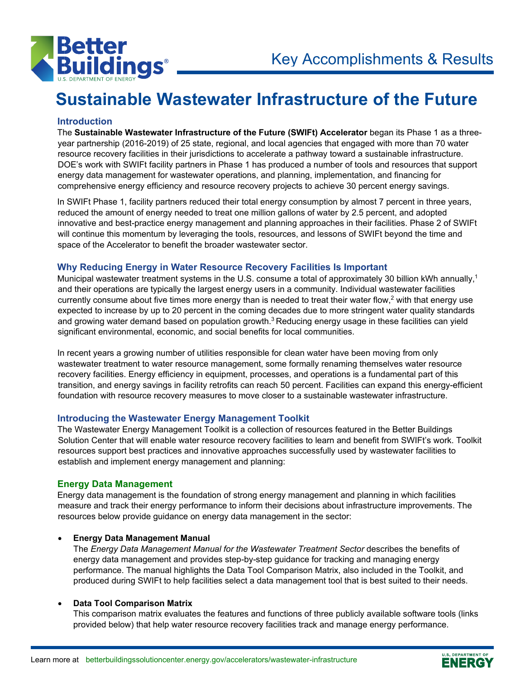

# **Sustainable Wastewater Infrastructure of the Future**

# **Introduction**

The **Sustainable Wastewater Infrastructure of the Future (SWIFt) Accelerator** began its Phase 1 as a threeyear partnership (2016-2019) of 25 state, regional, and local agencies that engaged with more than 70 water resource recovery facilities in their jurisdictions to accelerate a pathway toward a sustainable infrastructure. DOE's work with SWIFt facility partners in Phase 1 has produced a number of tools and resources that support energy data management for wastewater operations, and planning, implementation, and financing for comprehensive energy efficiency and resource recovery projects to achieve 30 percent energy savings.

In SWIFt Phase 1, facility partners reduced their total energy consumption by almost 7 percent in three years, reduced the amount of energy needed to treat one million gallons of water by 2.5 percent, and adopted innovative and best-practice energy management and planning approaches in their facilities. Phase 2 of SWIFt will continue this momentum by leveraging the tools, resources, and lessons of SWIFt beyond the time and space of the Accelerator to benefit the broader wastewater sector.

# **Why Reducing Energy in Water Resource Recovery Facilities Is Important**

Municipal wastewater treatment systems in the U.S. consume a total of approximately 30 billion kWh annually,<sup>1</sup> and their operations are typically the largest energy users in a community. Individual wastewater facilities currently consume about five times more energy than is needed to treat their water flow,<sup>2</sup> with that energy use expected to increase by up to 20 percent in the coming decades due to more stringent water quality standards and growing water demand based on population growth.<sup>3</sup> Reducing energy usage in these facilities can yield significant environmental, economic, and social benefits for local communities.

In recent years a growing number of utilities responsible for clean water have been moving from only wastewater treatment to water resource management, some formally renaming themselves water resource recovery facilities. Energy efficiency in equipment, processes, and operations is a fundamental part of this transition, and energy savings in facility retrofits can reach 50 percent. Facilities can expand this energy-efficient foundation with resource recovery measures to move closer to a sustainable wastewater infrastructure.

# **Introducing the Wastewater Energy Management Toolkit**

The Wastewater Energy Management Toolkit is a collection of resources featured in the Better Buildings Solution Center that will enable water resource recovery facilities to learn and benefit from SWIFt's work. Toolkit resources support best practices and innovative approaches successfully used by wastewater facilities to establish and implement energy management and planning:

# **Energy Data Management**

Energy data management is the foundation of strong energy management and planning in which facilities measure and track their energy performance to inform their decisions about infrastructure improvements. The resources below provide guidance on energy data management in the sector:

# • **Energy Data Management Manual**

The *Energy Data Management Manual for the Wastewater Treatment Sector* describes the benefits of energy data management and provides step-by-step guidance for tracking and managing energy performance. The manual highlights the Data Tool Comparison Matrix, also included in the Toolkit, and produced during SWIFt to help facilities select a data management tool that is best suited to their needs.

# • **Data Tool Comparison Matrix**

This comparison matrix evaluates the features and functions of three publicly available software tools (links provided below) that help water resource recovery facilities track and manage energy performance.

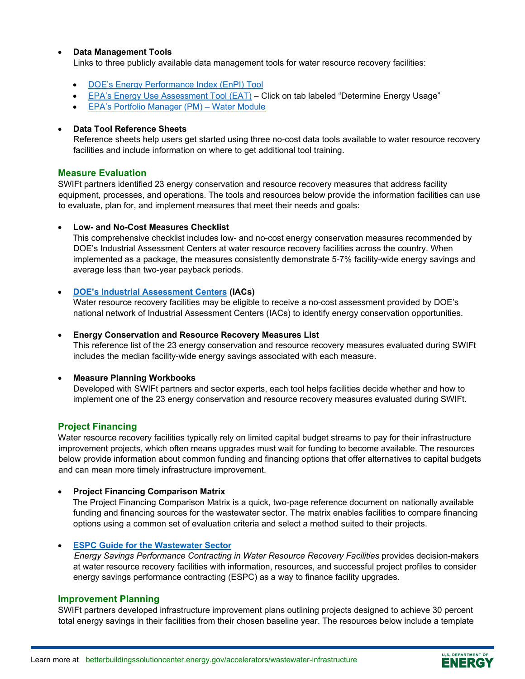### • **Data Management Tools**

Links to three publicly available data management tools for water resource recovery facilities:

- [DOE's Energy Performance Index \(EnPI\)](https://www.energy.gov/eere/amo/articles/energy-performance-indicator-tool) Tool
- [EPA's Energy Use Assessment Tool \(EAT\)](https://www.epa.gov/sustainable-water-infrastructure/energy-efficiency-water-utilities) Click on tab labeled "Determine Energy Usage"
- [EPA's Portfolio Manager \(PM\)](https://portfoliomanager.energystar.gov/pm/signup) Water Module

#### • **Data Tool Reference Sheets**

Reference sheets help users get started using three no-cost data tools available to water resource recovery facilities and include information on where to get additional tool training.

#### **Measure Evaluation**

SWIFt partners identified 23 energy conservation and resource recovery measures that address facility equipment, processes, and operations. The tools and resources below provide the information facilities can use to evaluate, plan for, and implement measures that meet their needs and goals:

#### • **Low- and No-Cost Measures Checklist**

This comprehensive checklist includes low- and no-cost energy conservation measures recommended by DOE's Industrial Assessment Centers at water resource recovery facilities across the country. When implemented as a package, the measures consistently demonstrate 5-7% facility-wide energy savings and average less than two-year payback periods.

### • **[DOE's Industrial Assessment Centers](https://www.energy.gov/eere/amo/industrial-assessment-centers-iacs) (IACs)**

Water resource recovery facilities may be eligible to receive a no-cost assessment provided by DOE's national network of Industrial Assessment Centers (IACs) to identify energy conservation opportunities.

#### • **Energy Conservation and Resource Recovery Measures List**

This reference list of the 23 energy conservation and resource recovery measures evaluated during SWIFt includes the median facility-wide energy savings associated with each measure.

#### • **Measure Planning Workbooks**

Developed with SWIFt partners and sector experts, each tool helps facilities decide whether and how to implement one of the 23 energy conservation and resource recovery measures evaluated during SWIFt.

# **Project Financing**

Water resource recovery facilities typically rely on limited capital budget streams to pay for their infrastructure improvement projects, which often means upgrades must wait for funding to become available. The resources below provide information about common funding and financing options that offer alternatives to capital budgets and can mean more timely infrastructure improvement.

#### • **Project Financing Comparison Matrix**

The Project Financing Comparison Matrix is a quick, two-page reference document on nationally available funding and financing sources for the wastewater sector. The matrix enables facilities to compare financing options using a common set of evaluation criteria and select a method suited to their projects.

#### • **ESPC Guide [for the Wastewater Sector](https://www.energy.gov/sites/prod/files/2018/03/f49/WIP_ESPCGuide_Wastewater_FINAL.pdf)**

*Energy Savings Performance Contracting in Water Resource Recovery Facilities* provides decision-makers at water resource recovery facilities with information, resources, and successful project profiles to consider energy savings performance contracting (ESPC) as a way to finance facility upgrades.

#### **Improvement Planning**

SWIFt partners developed infrastructure improvement plans outlining projects designed to achieve 30 percent total energy savings in their facilities from their chosen baseline year. The resources below include a template